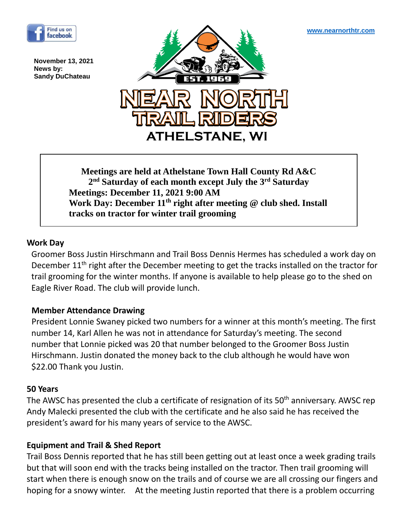**November 13, 2021 News by: Sandy DuChateau**



**Meetings are held at Athelstane Town Hall County Rd A&C 2 nd Saturday of each month except July the 3rd Saturday Meetings: December 11, 2021 9:00 AM Work Day: December 11th right after meeting @ club shed. Install tracks on tractor for winter trail grooming**

### **Work Day**

Groomer Boss Justin Hirschmann and Trail Boss Dennis Hermes has scheduled a work day on December 11<sup>th</sup> right after the December meeting to get the tracks installed on the tractor for trail grooming for the winter months. If anyone is available to help please go to the shed on Eagle River Road. The club will provide lunch. 

# **Member Attendance Drawing**

President Lonnie Swaney picked two numbers for a winner at this month's meeting. The first  number 14, Karl Allen he was not in attendance for Saturday's meeting. The second  number that Lonnie picked was 20 that number belonged to the Groomer Boss Justin Hirschmann. Justin donated the money back to the club although he would have won \$22.00 Thank you Justin.

#### **50 Years**

The AWSC has presented the club a certificate of resignation of its 50<sup>th</sup> anniversary. AWSC rep Andy Malecki presented the club with the certificate and he also said he has received the president's award for his many years of service to the AWSC.

#### **Equipment and Trail & Shed Report**

Trail Boss Dennis reported that he has still been getting out at least once a week grading trails but that will soon end with the tracks being installed on the tractor. Then trail grooming will start when there is enough snow on the trails and of course we are all crossing our fingers and hoping for a snowy winter. At the meeting Justin reported that there is a problem occurring